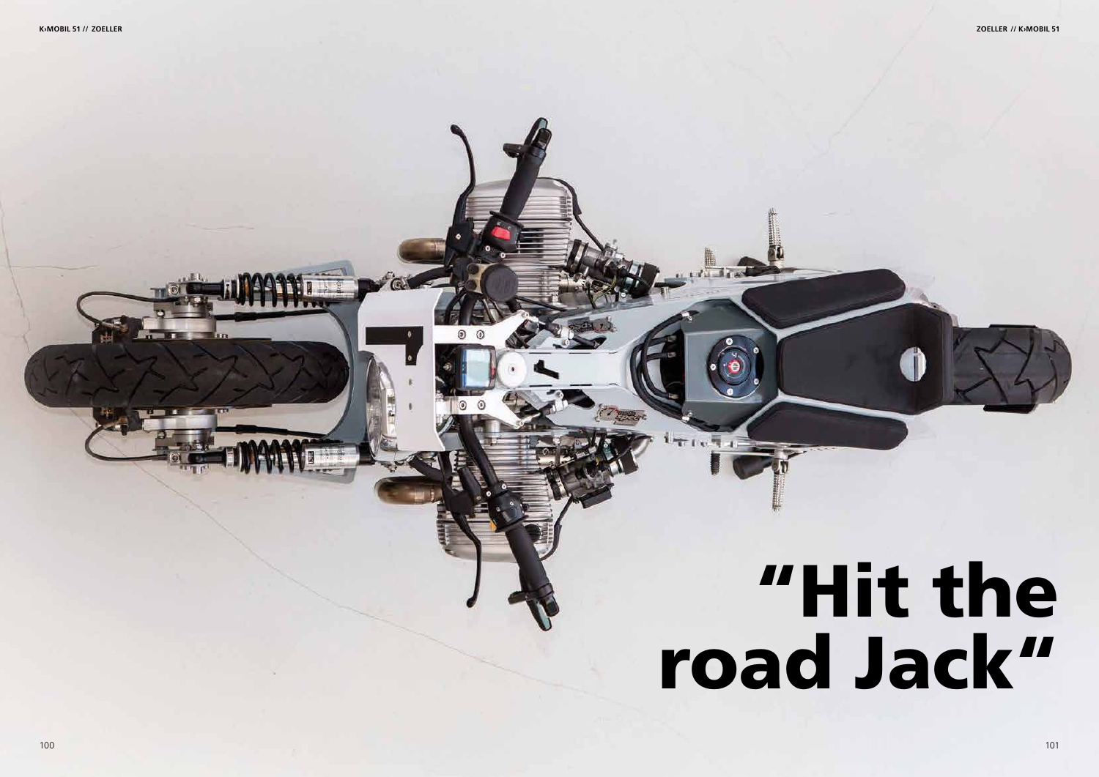## "Hit the road Jack"

**K›MOBIL 51 // ZOELLER ZOELLER // K›MOBIL 51**